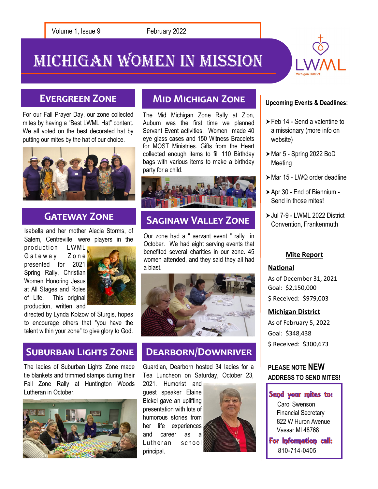Michigan Women In Mission



# **Evergreen Zone**

For our Fall Prayer Day, our zone collected mites by having a "Best LWML Hat" content. We all voted on the best decorated hat by putting our mites by the hat of our choice.



# **GATEWAY ZONE**

Isabella and her mother Alecia Storms, of Salem, Centreville, were players in the

production LWML Gateway Zone presented for 2021 Spring Rally, Christian Women Honoring Jesus at All Stages and Roles of Life. This original production, written and



directed by Lynda Kolzow of Sturgis, hopes to encourage others that "you have the talent within your zone" to give glory to God.

## **Suburban Lights Zone**

The ladies of Suburban Lights Zone made tie blankets and trimmed stamps during their Fall Zone Rally at Huntington Woods Lutheran in October.



# **Mid Michigan Zone**

The Mid Michigan Zone Rally at Zion, Auburn was the first time we planned Servant Event activities. Women made 40 eye glass cases and 150 Witness Bracelets for MOST Ministries. Gifts from the Heart collected enough items to fill 110 Birthday bags with various items to make a birthday party for a child.



# **Saginaw Valley Zone**

Our zone had a " servant event " rally in October. We had eight serving events that benefited several charities in our zone. 45 women attended, and they said they all had a blast.



## **Dearborn/Downriver**

Guardian, Dearborn hosted 34 ladies for a Tea Luncheon on Saturday, October 23,

2021. Humorist and guest speaker Elaine Bickel gave an uplifting presentation with lots of humorous stories from her life experiences and career as a Lutheran school principal.



#### **Upcoming Events & Deadlines:**

- ▶ Feb 14 Send a valentine to a missionary (more info on website)
- $\blacktriangleright$  Mar 5 Spring 2022 BoD Meeting
- ▶ Mar 15 LWQ order deadline
- Apr 30 End of Biennium Send in those mites!
- Jul 7-9 LWML 2022 District Convention, Frankenmuth

#### **Mite Report**

#### **National**

As of December 31, 2021 Goal: \$2,150,000 \$ Received: \$979,003

#### **Michigan District**

As of February 5, 2022 Goal: \$348,438 \$ Received: \$300,673

### **PLEASE NOTE NEW ADDRESS TO SEND MITES!**

#### Send your mites to:

Carol Swenson Financial Secretary 822 W Huron Avenue Vassar MI 48768

For Information call: 810-714-0405